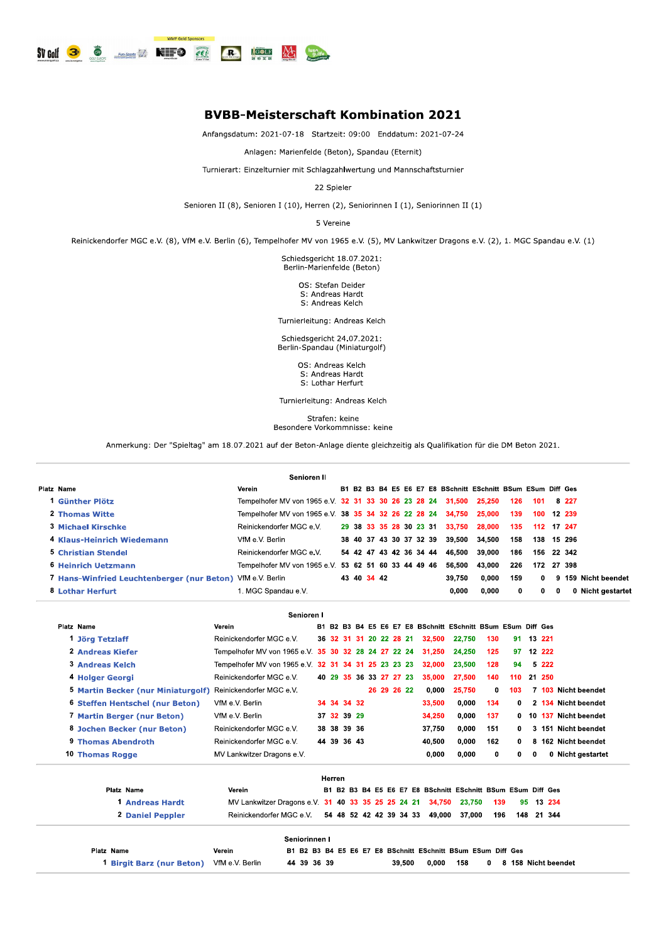

1 Birgit Barz (nur Beton) VfM e.V. Berlin

## **BVBB-Meisterschaft Kombination 2021**

Anfangsdatum: 2021-07-18 Startzeit: 09:00 Enddatum: 2021-07-24

Anlagen: Marienfelde (Beton), Spandau (Eternit)

Turnierart: Einzelturnier mit Schlagzahlwertung und Mannschaftsturnier

22 Spieler

Senioren II (8), Senioren I (10), Herren (2), Seniorinnen I (1), Seniorinnen II (1)

5 Vereine

Reinickendorfer MGC e.V. (8), VfM e.V. Berlin (6), Tempelhofer MV von 1965 e.V. (5), MV Lankwitzer Dragons e.V. (2), 1. MGC Spandau e.V. (1)

Schiedsgericht 18.07.2021: Berlin-Marienfelde (Beton)

> OS: Stefan Deider S: Andreas Hardt S: Andreas Kelch

Turnierleitung: Andreas Kelch

Schiedsgericht 24.07.2021: Berlin-Spandau (Miniaturgolf)

> OS: Andreas Kelch S: Andreas Hardt S: Lothar Herfurt

Turnierleitung: Andreas Kelch

Strafen: keine Besondere Vorkommnisse: keine

Anmerkung: Der "Spieltag" am 18.07.2021 auf der Beton-Anlage diente gleichzeitig als Qualifikation für die DM Beton 2021.

| Senioren II                                                |                                                                            |  |  |  |             |  |  |  |                         |                                                              |               |              |              |          |                     |  |
|------------------------------------------------------------|----------------------------------------------------------------------------|--|--|--|-------------|--|--|--|-------------------------|--------------------------------------------------------------|---------------|--------------|--------------|----------|---------------------|--|
| Platz Name                                                 | Verein                                                                     |  |  |  |             |  |  |  |                         | B1 B2 B3 B4 E5 E6 E7 E8 BSchnitt ESchnitt BSum ESum Diff Ges |               |              |              |          |                     |  |
| <b>Günther Plötz</b>                                       | Tempelhofer MV von 1965 e.V. 32 31 33 30 26 23 28 24 31,500 25,250 126 101 |  |  |  |             |  |  |  |                         |                                                              |               |              |              |          | 8227                |  |
| 2 Thomas Witte                                             | Tempelhofer MV von 1965 e.V. 38 35 34 32 26 22 28 24 34,750 25,000         |  |  |  |             |  |  |  |                         |                                                              |               | 139          | 100 12 239   |          |                     |  |
| <b>3 Michael Kirschke</b>                                  | Reinickendorfer MGC e.V.                                                   |  |  |  |             |  |  |  |                         | 29 38 33 35 28 30 23 31 33,750 28,000                        |               | 135          | 112 17 247   |          |                     |  |
| 4 Klaus-Heinrich Wiedemann                                 | VfM e.V. Berlin                                                            |  |  |  |             |  |  |  | 38 40 37 43 30 37 32 39 |                                                              | 39.500 34.500 | 158          |              |          | 138 15 296          |  |
| <b>5 Christian Stendel</b>                                 | Reinickendorfer MGC e.V.                                                   |  |  |  |             |  |  |  | 54 42 47 43 42 36 34 44 | 46.500                                                       | 39,000        | 186          | 156 22 342   |          |                     |  |
| 6 Heinrich Uetzmann                                        | Tempelhofer MV von 1965 e.V. 53 62 51 60 33 44 49 46                       |  |  |  |             |  |  |  |                         | 56.500                                                       | 43.000        | 226          | 172          |          | 27 398              |  |
| 7 Hans-Winfried Leuchtenberger (nur Beton) VfM e.V. Berlin |                                                                            |  |  |  | 43 40 34 42 |  |  |  |                         | 39,750                                                       | 0.000         | 159          | $\mathbf{0}$ |          | 9 159 Nicht beendet |  |
| 8 Lothar Herfurt                                           | 1. MGC Spandau e.V.                                                        |  |  |  |             |  |  |  |                         | 0.000                                                        | 0.000         | $\mathbf{0}$ | 0            | $\bf{0}$ | 0 Nicht gestartet   |  |

|                                    | Senioren I                                           |           |                         |  |             |  |        |                                                              |     |     |     |         |                     |
|------------------------------------|------------------------------------------------------|-----------|-------------------------|--|-------------|--|--------|--------------------------------------------------------------|-----|-----|-----|---------|---------------------|
| Platz Name                         | Verein                                               | <b>B1</b> |                         |  |             |  |        | B2 B3 B4 E5 E6 E7 E8 BSchnitt ESchnitt BSum ESum Diff Ges    |     |     |     |         |                     |
| 1 Jörg Tetzlaff                    | Reinickendorfer MGC e.V.                             |           | 36 32 31 31 20 22 28 21 |  |             |  | 32.500 | 22.750                                                       | 130 | 91  |     | 13 221  |                     |
| 2 Andreas Kiefer                   | Tempelhofer MV von 1965 e.V. 35 30 32 28 24 27 22 24 |           |                         |  |             |  | 31.250 | 24.250                                                       | 125 | 97  |     | 12 222  |                     |
| 3 Andreas Kelch                    | Tempelhofer MV von 1965 e.V. 32 31 34 31 25 23 23 23 |           |                         |  |             |  | 32,000 | 23,500                                                       | 128 | 94  |     | 5 2 2 2 |                     |
| 4 Holger Georgi                    | Reinickendorfer MGC e.V.                             |           | 40 29 35 36 33 27 27 23 |  |             |  | 35,000 | 27,500                                                       | 140 | 110 |     | 21 250  |                     |
| 5 Martin Becker (nur Miniaturgolf) | Reinickendorfer MGC e.V.                             |           |                         |  | 26 29 26 22 |  | 0,000  | 25,750                                                       | 0   | 103 |     |         | 7 103 Nicht beendet |
| 6 Steffen Hentschel (nur Beton)    | VfM e.V. Berlin                                      |           | 34 34 34 32             |  |             |  | 33,500 | 0,000                                                        | 134 | 0   |     |         | 2 134 Nicht beendet |
| 7 Martin Berger (nur Beton)        | VfM e.V. Berlin                                      |           | 37 32 39 29             |  |             |  | 34,250 | 0,000                                                        | 137 | 0   | 10  |         | 137 Nicht beendet   |
| 8 Jochen Becker (nur Beton)        | Reinickendorfer MGC e.V.                             |           | 38 38 39 36             |  |             |  | 37.750 | 0.000                                                        | 151 | 0   | 3.  |         | 151 Nicht beendet   |
| 9 Thomas Abendroth                 | Reinickendorfer MGC e.V.                             |           | 44 39 36 43             |  |             |  | 40.500 | 0,000                                                        | 162 | 0   | 8   |         | 162 Nicht beendet   |
| 10 Thomas Rogge                    | MV Lankwitzer Dragons e.V.                           |           |                         |  |             |  | 0,000  | 0,000                                                        | 0   | 0   | 0   |         | 0 Nicht gestartet   |
|                                    |                                                      |           | Herren                  |  |             |  |        |                                                              |     |     |     |         |                     |
| Platz Name                         | Verein                                               |           |                         |  |             |  |        | B1 B2 B3 B4 E5 E6 E7 E8 BSchnitt ESchnitt BSum ESum Diff Ges |     |     |     |         |                     |
| 1 Andreas Hardt                    | MV Lankwitzer Dragons e.V. 31 40 33 35 25 25 24 21   |           |                         |  |             |  | 34,750 | 23,750                                                       | 139 |     | 95  | 13 234  |                     |
| 2 Daniel Peppler                   | Reinickendorfer MGC e.V.                             |           | 54 48 52 42 42 39 34 33 |  |             |  | 49,000 | 37,000                                                       | 196 |     | 148 | 21 344  |                     |
|                                    | Seniorinnen I                                        |           |                         |  |             |  |        |                                                              |     |     |     |         |                     |
| Platz Name                         | Verein                                               |           |                         |  |             |  |        | B1 B2 B3 B4 E5 E6 E7 E8 BSchnitt ESchnitt BSum ESum Diff Ges |     |     |     |         |                     |

44 39 36 39

39,500

0,000

158

0 8 158 Nicht beendet